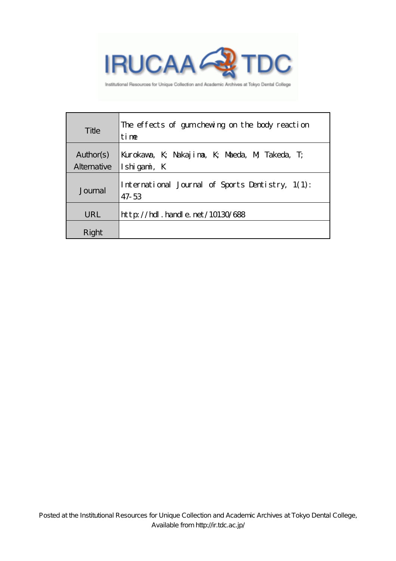

Institutional Resources for Unique Collection and Academic Archives at Tokyo Dental College

| Title       | The effects of gumchewing on the body reaction<br>time    |
|-------------|-----------------------------------------------------------|
| Author(s)   | Kurokava, K; Nakajima, K; Maeda, M; Takeda, T;            |
| Alternative | $\vert$ Ishigami, K                                       |
| Journal     | International Journal of Sports Dentistry, 1(1):<br>47-53 |
| URL         | $http$ // $rdl$ . handle. net/10130/688                   |
| Right       |                                                           |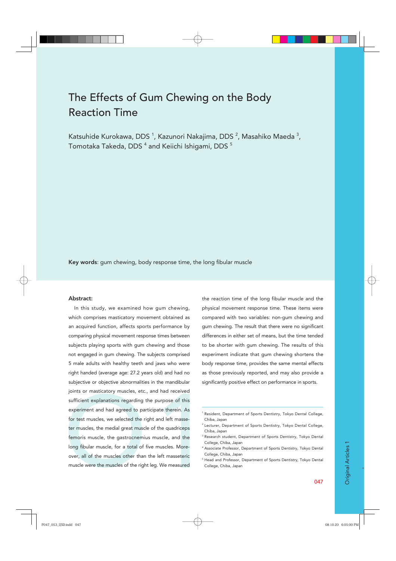# The Effects of Gum Chewing on the Body Reaction Time

Katsuhide Kurokawa, DDS <sup>1</sup>, Kazunori Nakajima, DDS <sup>2</sup>, Masahiko Maeda <sup>3</sup>, Tomotaka Takeda, DDS  $^{\rm 4}$  and Keiichi Ishigami, DDS  $^{\rm 5}$ 

Key words: gum chewing, body response time, the long fibular muscle

#### Abstract:

In this study, we examined how gum chewing, which comprises masticatory movement obtained as an acquired function, affects sports performance by comparing physical movement response times between subjects playing sports with gum chewing and those not engaged in gum chewing. The subjects comprised 5 male adults with healthy teeth and jaws who were right handed (average age: 27.2 years old) and had no subjective or objective abnormalities in the mandibular joints or masticatory muscles, etc., and had received sufficient explanations regarding the purpose of this experiment and had agreed to participate therein. As for test muscles, we selected the right and left masseter muscles, the medial great muscle of the quadriceps femoris muscle, the gastrocnemius muscle, and the long fibular muscle, for a total of five muscles. Moreover, all of the muscles other than the left masseteric muscle were the muscles of the right leg. We measured

the reaction time of the long fibular muscle and the physical movement response time. These items were compared with two variables: non-gum chewing and gum chewing. The result that there were no significant differences in either set of means, but the time tended to be shorter with gum chewing. The results of this experiment indicate that gum chewing shortens the body response time, provides the same mental effects as those previously reported, and may also provide a significantly positive effect on performance in sports.

<sup>&</sup>lt;sup>1</sup> Resident, Department of Sports Dentistry, Tokyo Dental College, Chiba, Japan

<sup>&</sup>lt;sup>2</sup> Lecturer, Department of Sports Dentistry, Tokyo Dental College, Chiba, Japan

<sup>3</sup> Research student, Department of Sports Dentistry, Tokyo Dental College, Chiba, Japan

<sup>4</sup> Associate Professor, Department of Sports Dentistry, Tokyo Dental College, Chiba, Japan

<sup>5</sup> Head and Professor, Department of Sports Dentistry, Tokyo Dental College, Chiba, Japan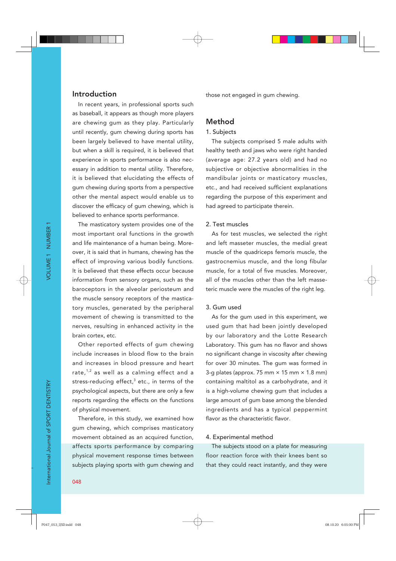## Introduction

In recent years, in professional sports such as baseball, it appears as though more players are chewing gum as they play. Particularly until recently, gum chewing during sports has been largely believed to have mental utility, but when a skill is required, it is believed that experience in sports performance is also necessary in addition to mental utility. Therefore, it is believed that elucidating the effects of gum chewing during sports from a perspective other the mental aspect would enable us to discover the efficacy of gum chewing, which is believed to enhance sports performance.

The masticatory system provides one of the most important oral functions in the growth and life maintenance of a human being. Moreover, it is said that in humans, chewing has the effect of improving various bodily functions. It is believed that these effects occur because information from sensory organs, such as the baroceptors in the alveolar periosteum and the muscle sensory receptors of the masticatory muscles, generated by the peripheral movement of chewing is transmitted to the nerves, resulting in enhanced activity in the brain cortex, etc.

Other reported effects of gum chewing include increases in blood flow to the brain and increases in blood pressure and heart rate, $1,2$  as well as a calming effect and a stress-reducing effect,<sup>3</sup> etc., in terms of the psychological aspects, but there are only a few reports regarding the effects on the functions of physical movement.

Therefore, in this study, we examined how gum chewing, which comprises masticatory movement obtained as an acquired function, affects sports performance by comparing physical movement response times between subjects playing sports with gum chewing and

those not engaged in gum chewing.

## Method

## 1. Subjects

The subjects comprised 5 male adults with healthy teeth and jaws who were right handed (average age: 27.2 years old) and had no subjective or objective abnormalities in the mandibular joints or masticatory muscles, etc., and had received sufficient explanations regarding the purpose of this experiment and had agreed to participate therein.

#### 2. Test muscles

As for test muscles, we selected the right and left masseter muscles, the medial great muscle of the quadriceps femoris muscle, the gastrocnemius muscle, and the long fibular muscle, for a total of five muscles. Moreover, all of the muscles other than the left masseteric muscle were the muscles of the right leg.

#### 3. Gum used

As for the gum used in this experiment, we used gum that had been jointly developed by our laboratory and the Lotte Research Laboratory. This gum has no flavor and shows no significant change in viscosity after chewing for over 30 minutes. The gum was formed in 3-g plates (approx. 75 mm  $\times$  15 mm  $\times$  1.8 mm) containing maltitol as a carbohydrate, and it is a high-volume chewing gum that includes a large amount of gum base among the blended ingredients and has a typical peppermint flavor as the characteristic flavor

#### 4. Experimental method

The subjects stood on a plate for measuring floor reaction force with their knees bent so that they could react instantly, and they were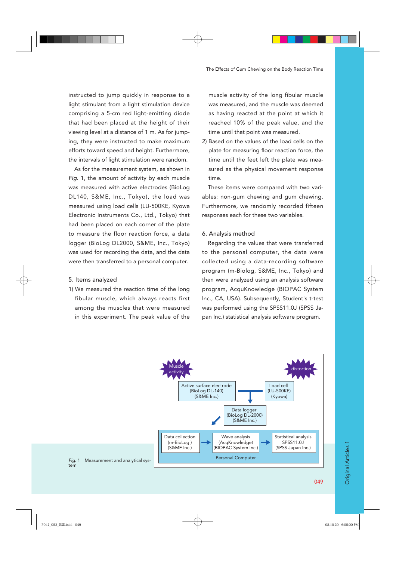instructed to jump quickly in response to a light stimulant from a light stimulation device comprising a 5-cm red light-emitting diode that had been placed at the height of their viewing level at a distance of 1 m. As for jumping, they were instructed to make maximum efforts toward speed and height. Furthermore, the intervals of light stimulation were random.

As for the measurement system, as shown in *Fig.* 1, the amount of activity by each muscle was measured with active electrodes (BioLog DL140, S&ME, Inc., Tokyo), the load was measured using load cells (LU-500KE, Kyowa Electronic Instruments Co., Ltd., Tokyo) that had been placed on each corner of the plate to measure the floor reaction force, a data logger (BioLog DL2000, S&ME, Inc., Tokyo) was used for recording the data, and the data were then transferred to a personal computer.

- 5. Items analyzed
- 1) We measured the reaction time of the long fibular muscle, which always reacts first among the muscles that were measured in this experiment. The peak value of the

muscle activity of the long fibular muscle was measured, and the muscle was deemed as having reacted at the point at which it reached 10% of the peak value, and the time until that point was measured.

2) Based on the values of the load cells on the plate for measuring floor reaction force, the time until the feet left the plate was measured as the physical movement response time.

These items were compared with two variables: non-gum chewing and gum chewing. Furthermore, we randomly recorded fifteen responses each for these two variables.

#### 6. Analysis method

Regarding the values that were transferred to the personal computer, the data were collected using a data-recording software program (m-Biolog, S&ME, Inc., Tokyo) and then were analyzed using an analysis software program, AcquKnowledge (BIOPAC System Inc., CA, USA). Subsequently, Student's t-test was performed using the SPSS11.0J (SPSS Japan Inc.) statistical analysis software program.



*Fig.* 1 Measurement and analytical system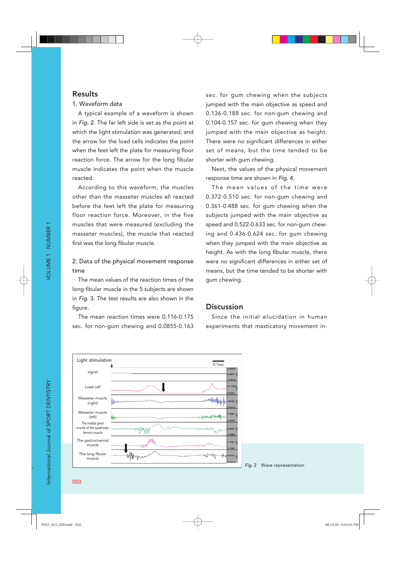# Results

## 1. Waveform data

A typical example of a waveform is shown in *Fig.* 2. The far left side is set as the point at which the light stimulation was generated, and the arrow for the load cells indicates the point when the feet left the plate for measuring floor reaction force. The arrow for the long fibular muscle indicates the point when the muscle reacted.

According to this waveform, the muscles other than the masseter muscles all reacted before the feet left the plate for measuring floor reaction force. Moreover, in the five muscles that were measured (excluding the masseter muscles), the muscle that reacted first was the long fibular muscle.

# 2. Data of the physical movement response time

The mean values of the reaction times of the long fibular muscle in the 5 subjects are shown in *Fig.* 3. The test results are also shown in the figure.

The mean reaction times were 0.116-0.175 sec. for non-gum chewing and 0.0855-0.163 sec. for gum chewing when the subjects jumped with the main objective as speed and 0.136-0.188 sec. for non-gum chewing and 0.104-0.157 sec. for gum chewing when they jumped with the main objective as height. There were no significant differences in either set of means, but the time tended to be shorter with gum chewing.

Next, the values of the physical movement response time are shown in *Fig.* 4.

The mean values of the time were 0.372-0.510 sec. for non-gum chewing and 0.361-0.488 sec. for gum chewing when the subjects jumped with the main objective as speed and 0.522-0.633 sec. for non-gum chewing and 0.436-0.624 sec. for gum chewing when they jumped with the main objective as height. As with the long fibular muscle, there were no significant differences in either set of means, but the time tended to be shorter with gum chewing.

# **Discussion**

Since the initial elucidation in human experiments that masticatory movement in-



*Fig.* 2 Wave representation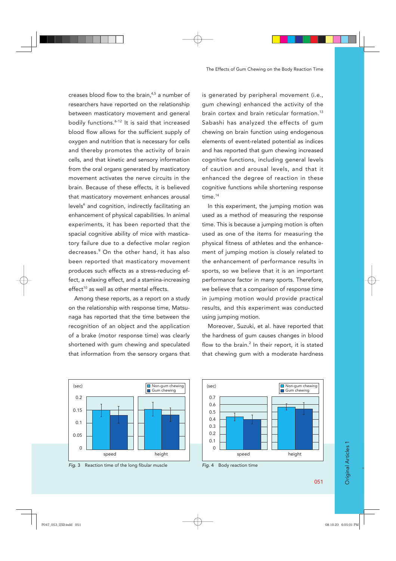creases blood flow to the brain, $4,5$  a number of researchers have reported on the relationship between masticatory movement and general bodily functions.6-12 It is said that increased blood flow allows for the sufficient supply of oxygen and nutrition that is necessary for cells and thereby promotes the activity of brain cells, and that kinetic and sensory information from the oral organs generated by masticatory movement activates the nerve circuits in the brain. Because of these effects, it is believed that masticatory movement enhances arousal levels<sup>6</sup> and cognition, indirectly facilitating an enhancement of physical capabilities. In animal experiments, it has been reported that the spacial cognitive ability of mice with masticatory failure due to a defective molar region decreases.9 On the other hand, it has also been reported that masticatory movement produces such effects as a stress-reducing effect, a relaxing effect, and a stamina-increasing  $effect<sup>10</sup>$  as well as other mental effects.

Among these reports, as a report on a study on the relationship with response time, Matsunaga has reported that the time between the recognition of an object and the application of a brake (motor response time) was clearly shortened with gum chewing and speculated that information from the sensory organs that

is generated by peripheral movement (i.e., gum chewing) enhanced the activity of the brain cortex and brain reticular formation.<sup>13</sup> Sabashi has analyzed the effects of gum chewing on brain function using endogenous elements of event-related potential as indices and has reported that gum chewing increased cognitive functions, including general levels of caution and arousal levels, and that it enhanced the degree of reaction in these cognitive functions while shortening response time.14

In this experiment, the jumping motion was used as a method of measuring the response time. This is because a jumping motion is often used as one of the items for measuring the physical fitness of athletes and the enhancement of jumping motion is closely related to the enhancement of performance results in sports, so we believe that it is an important performance factor in many sports. Therefore, we believe that a comparison of response time in jumping motion would provide practical results, and this experiment was conducted using jumping motion.

Moreover, Suzuki, et al. have reported that the hardness of gum causes changes in blood flow to the brain. $<sup>2</sup>$  In their report, it is stated</sup> that chewing gum with a moderate hardness



Fig. 3 Reaction time of the long fibular muscle



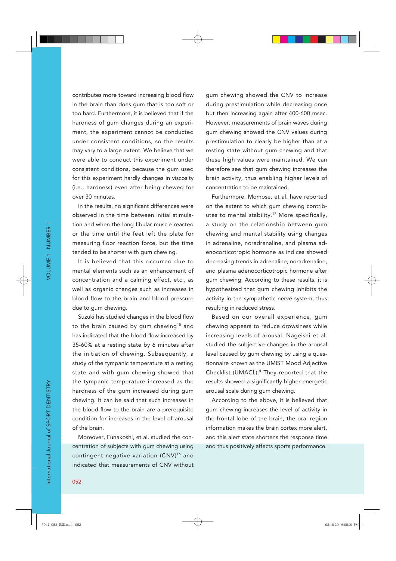contributes more toward increasing blood flow in the brain than does gum that is too soft or too hard. Furthermore, it is believed that if the hardness of gum changes during an experiment, the experiment cannot be conducted under consistent conditions, so the results may vary to a large extent. We believe that we were able to conduct this experiment under consistent conditions, because the gum used for this experiment hardly changes in viscosity (i.e., hardness) even after being chewed for over 30 minutes.

In the results, no significant differences were observed in the time between initial stimulation and when the long fibular muscle reacted or the time until the feet left the plate for measuring floor reaction force, but the time tended to be shorter with gum chewing.

It is believed that this occurred due to mental elements such as an enhancement of concentration and a calming effect, etc., as well as organic changes such as increases in blood flow to the brain and blood pressure due to gum chewing.

Suzuki has studied changes in the blood flow to the brain caused by gum chewing<sup>15</sup> and has indicated that the blood flow increased by 35-60% at a resting state by 6 minutes after the initiation of chewing. Subsequently, a study of the tympanic temperature at a resting state and with gum chewing showed that the tympanic temperature increased as the hardness of the gum increased during gum chewing. It can be said that such increases in the blood flow to the brain are a prerequisite condition for increases in the level of arousal of the brain.

Moreover, Funakoshi, et al. studied the concentration of subjects with gum chewing using contingent negative variation (CNV)<sup>16</sup> and indicated that measurements of CNV without

gum chewing showed the CNV to increase during prestimulation while decreasing once but then increasing again after 400-600 msec. However, measurements of brain waves during gum chewing showed the CNV values during prestimulation to clearly be higher than at a resting state without gum chewing and that these high values were maintained. We can therefore see that gum chewing increases the brain activity, thus enabling higher levels of concentration to be maintained.

Furthermore, Momose, et al. have reported on the extent to which gum chewing contributes to mental stability.17 More specifically, a study on the relationship between gum chewing and mental stability using changes in adrenaline, noradrenaline, and plasma adenocorticotropic hormone as indices showed decreasing trends in adrenaline, noradrenaline, and plasma adenocorticotropic hormone after gum chewing. According to these results, it is hypothesized that gum chewing inhibits the activity in the sympathetic nerve system, thus resulting in reduced stress.

Based on our overall experience, gum chewing appears to reduce drowsiness while increasing levels of arousal. Nageishi et al. studied the subjective changes in the arousal level caused by gum chewing by using a questionnaire known as the UMIST Mood Adjective Checklist (UMACL).<sup>6</sup> They reported that the results showed a significantly higher energetic arousal scale during gum chewing.

According to the above, it is believed that gum chewing increases the level of activity in the frontal lobe of the brain, the oral region information makes the brain cortex more alert, and this alert state shortens the response time and thus positively affects sports performance.